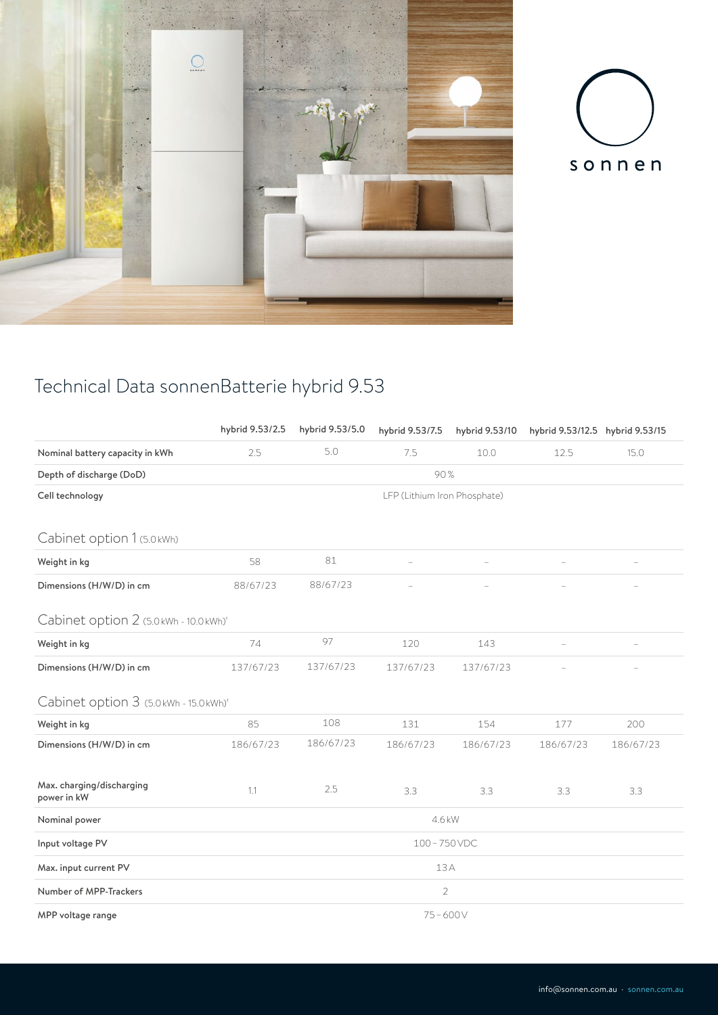



## Technical Data sonnenBatterie hybrid 9.53

|                                          | hybrid 9.53/2.5              | hybrid 9.53/5.0 | hybrid 9.53/7.5 | hybrid 9.53/10 | hybrid 9.53/12.5 hybrid 9.53/15 |           |  |  |
|------------------------------------------|------------------------------|-----------------|-----------------|----------------|---------------------------------|-----------|--|--|
| Nominal battery capacity in kWh          | 2.5                          | 5.0             | 7.5             | 10.0           | 12.5                            | 15.0      |  |  |
| Depth of discharge (DoD)                 | 90%                          |                 |                 |                |                                 |           |  |  |
| Cell technology                          | LFP (Lithium Iron Phosphate) |                 |                 |                |                                 |           |  |  |
|                                          |                              |                 |                 |                |                                 |           |  |  |
| Cabinet option 1 (5.0 kWh)               |                              |                 |                 |                |                                 |           |  |  |
| Weight in kg                             | 58                           | 81              |                 |                |                                 |           |  |  |
| Dimensions (H/W/D) in cm                 | 88/67/23                     | 88/67/23        |                 |                |                                 |           |  |  |
| Cabinet option 2 (5.0 kWh - 10.0 kWh)'   |                              |                 |                 |                |                                 |           |  |  |
| Weight in kg                             | 74                           | 97              | 120             | 143            |                                 |           |  |  |
| Dimensions (H/W/D) in cm                 | 137/67/23                    | 137/67/23       | 137/67/23       | 137/67/23      |                                 |           |  |  |
| Cabinet option 3 (5.0 kWh - 15.0 kWh)'   |                              |                 |                 |                |                                 |           |  |  |
| Weight in kg                             | 85                           | 108             | 131             | 154            | 177                             | 200       |  |  |
| Dimensions (H/W/D) in cm                 | 186/67/23                    | 186/67/23       | 186/67/23       | 186/67/23      | 186/67/23                       | 186/67/23 |  |  |
|                                          |                              |                 |                 |                |                                 |           |  |  |
| Max. charging/discharging<br>power in kW | 1.1                          | 2.5             | 3.3             | 3.3            | 3.3                             | 3.3       |  |  |
| Nominal power                            | 4.6 kW                       |                 |                 |                |                                 |           |  |  |
| Input voltage PV                         | 100-750VDC                   |                 |                 |                |                                 |           |  |  |
| Max. input current PV                    | 13A                          |                 |                 |                |                                 |           |  |  |
| Number of MPP-Trackers                   | $\overline{2}$               |                 |                 |                |                                 |           |  |  |
| MPP voltage range                        | $75 - 600V$                  |                 |                 |                |                                 |           |  |  |